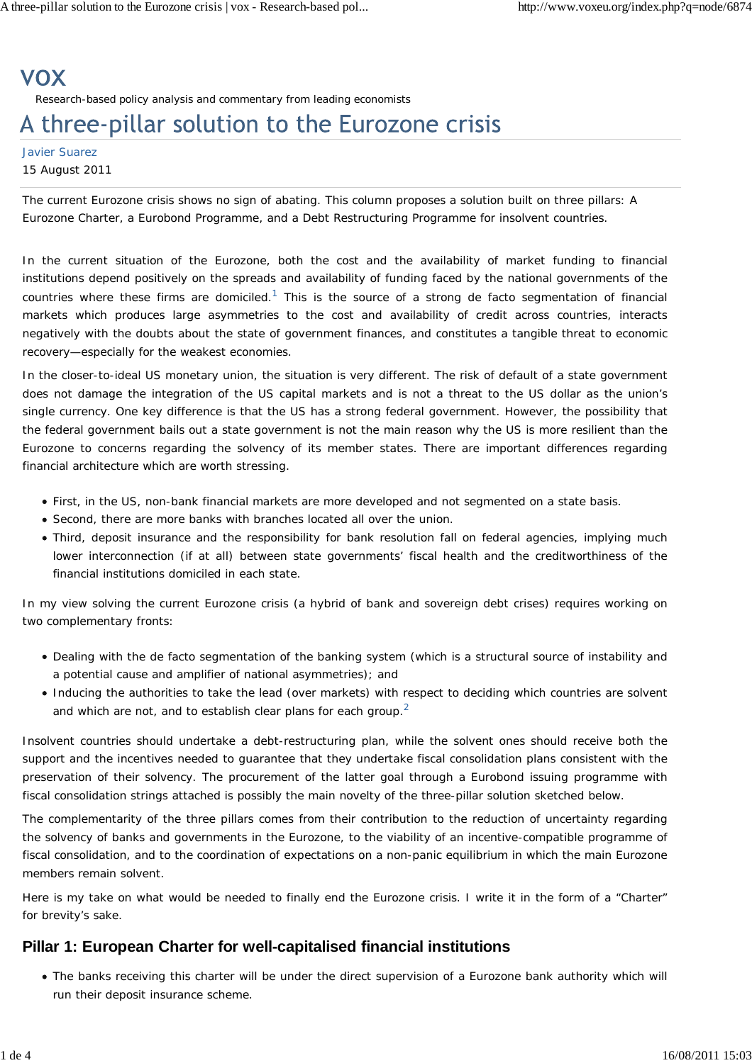# **VOX** Research-based policy analysis and commentary from leading economists

# A three-pillar solution to the Eurozone crisis

#### Javier Suarez 15 August 2011

*The current Eurozone crisis shows no sign of abating. This column proposes a solution built on three pillars: A Eurozone Charter, a Eurobond Programme, and a Debt Restructuring Programme for insolvent countries.*

In the current situation of the Eurozone, both the cost and the availability of market funding to financial institutions depend positively on the spreads and availability of funding faced by the national governments of the countries where these firms are domiciled.<sup>1</sup> This is the source of a strong *de facto* segmentation of financial markets which produces large asymmetries to the cost and availability of credit across countries, interacts negatively with the doubts about the state of government finances, and constitutes a tangible threat to economic recovery—especially for the weakest economies.

In the closer-to-ideal US monetary union, the situation is very different. The risk of default of a state government does not damage the integration of the US capital markets and is not a threat to the US dollar as the union's single currency. One key difference is that the US has a strong federal government. However, the possibility that the federal government bails out a state government is not the main reason why the US is more resilient than the Eurozone to concerns regarding the solvency of its member states. There are important differences regarding financial architecture which are worth stressing.

- First, in the US, non-bank financial markets are more developed and not segmented on a state basis.
- Second, there are more banks with branches located all over the union.
- Third, deposit insurance and the responsibility for bank resolution fall on federal agencies, implying much lower interconnection (if at all) between state governments' fiscal health and the creditworthiness of the financial institutions domiciled in each state.

In my view solving the current Eurozone crisis (a hybrid of bank and sovereign debt crises) requires working on two complementary fronts:

- Dealing with the *de facto* segmentation of the banking system (which is a structural source of instability and a potential cause and amplifier of national asymmetries); and
- Inducing the authorities to take the lead (over markets) with respect to deciding which countries are solvent and which are not, and to establish clear plans for each group.<sup>2</sup>

Insolvent countries should undertake a debt-restructuring plan, while the solvent ones should receive both the support and the incentives needed to guarantee that they undertake fiscal consolidation plans consistent with the preservation of their solvency. The procurement of the latter goal through a Eurobond issuing programme with fiscal consolidation strings attached is possibly the main novelty of the three-pillar solution sketched below.

The complementarity of the three pillars comes from their contribution to the reduction of uncertainty regarding the solvency of banks and governments in the Eurozone, to the viability of an incentive-compatible programme of fiscal consolidation, and to the coordination of expectations on a non-panic equilibrium in which the main Eurozone members remain solvent.

Here is my take on what would be needed to finally end the Eurozone crisis. I write it in the form of a "Charter" for brevity's sake.

## **Pillar 1: European Charter for well-capitalised financial institutions**

The banks receiving this charter will be under the direct supervision of a *Eurozone bank authority* which will run their deposit insurance scheme.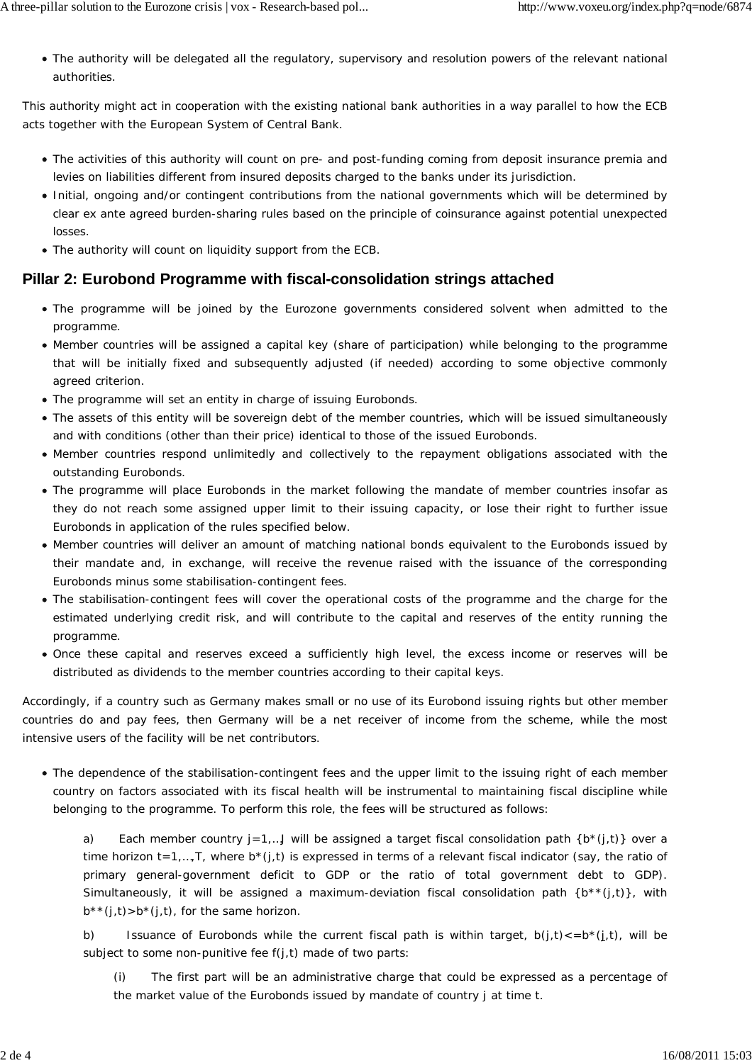The authority will be delegated all the regulatory, supervisory and resolution powers of the relevant national authorities.

This authority might act in cooperation with the existing national bank authorities in a way parallel to how the ECB acts together with the European System of Central Bank.

- The activities of this authority will count on pre- and post-funding coming from deposit insurance premia and levies on liabilities different from insured deposits charged to the banks under its jurisdiction.
- Initial, ongoing and/or contingent contributions from the national governments which will be determined by clear *ex ante* agreed burden-sharing rules based on the principle of coinsurance against potential unexpected losses.
- The authority will count on liquidity support from the ECB.

## **Pillar 2: Eurobond Programme with fiscal-consolidation strings attached**

- The programme will be joined by the Eurozone governments considered solvent when admitted to the programme.
- Member countries will be assigned a *capital key* (share of participation) while belonging to the programme that will be initially fixed and subsequently adjusted (if needed) according to some objective commonly agreed criterion.
- The programme will set an entity in charge of issuing *Eurobonds*.
- The assets of this entity will be sovereign debt of the member countries, which will be issued simultaneously and with conditions (other than their price) identical to those of the issued Eurobonds.
- Member countries respond unlimitedly and collectively to the repayment obligations associated with the outstanding Eurobonds.
- The programme will place Eurobonds in the market following the mandate of member countries insofar as they do not reach some assigned upper limit to their issuing capacity, or lose their right to further issue Eurobonds in application of the rules specified below.
- Member countries will deliver an amount of matching national bonds equivalent to the Eurobonds issued by their mandate and, in exchange, will receive the revenue raised with the issuance of the corresponding Eurobonds minus some *stabilisation-contingent fees*.
- The stabilisation-contingent fees will cover the operational costs of the programme and the charge for the estimated underlying credit risk, and will contribute to the capital and reserves of the entity running the programme.
- Once these capital and reserves exceed a sufficiently high level, the excess income or reserves will be distributed as dividends to the member countries according to their capital keys.

Accordingly, if a country such as Germany makes small or no use of its Eurobond issuing rights but other member countries do and pay fees, then Germany will be a net receiver of income from the scheme, while the most intensive users of the facility will be net contributors.

The dependence of the stabilisation-contingent fees and the upper limit to the issuing right of each member country on factors associated with its fiscal health will be instrumental to maintaining fiscal discipline while belonging to the programme. To perform this role, the fees will be structured as follows:

a) Each member country *j*=1,…*J* will be assigned a *target* fiscal consolidation path {*b*\*(*j*,*t*)} over a time horizon  $t = 1,...,T$ , where  $b^*(j,t)$  is expressed in terms of a relevant fiscal indicator (say, the ratio of primary general-government deficit to GDP or the ratio of total government debt to GDP). Simultaneously, it will be assigned a *maximum-deviation* fiscal consolidation path {*b*\*\*(*j*,*t*)}, with  $b^{**}(i, t) > b^{*}(i, t)$ , for the same horizon.

b) Issuance of Eurobonds while the current fiscal path is within target,  $b(i, t) \leq b^*(i, t)$ , will be subject to some *non-punitive fee f*(*j*,*t*) made of two parts:

The first part will be an administrative charge that could be expressed as a percentage of the market value of the Eurobonds issued by mandate of country *j* at time *t*.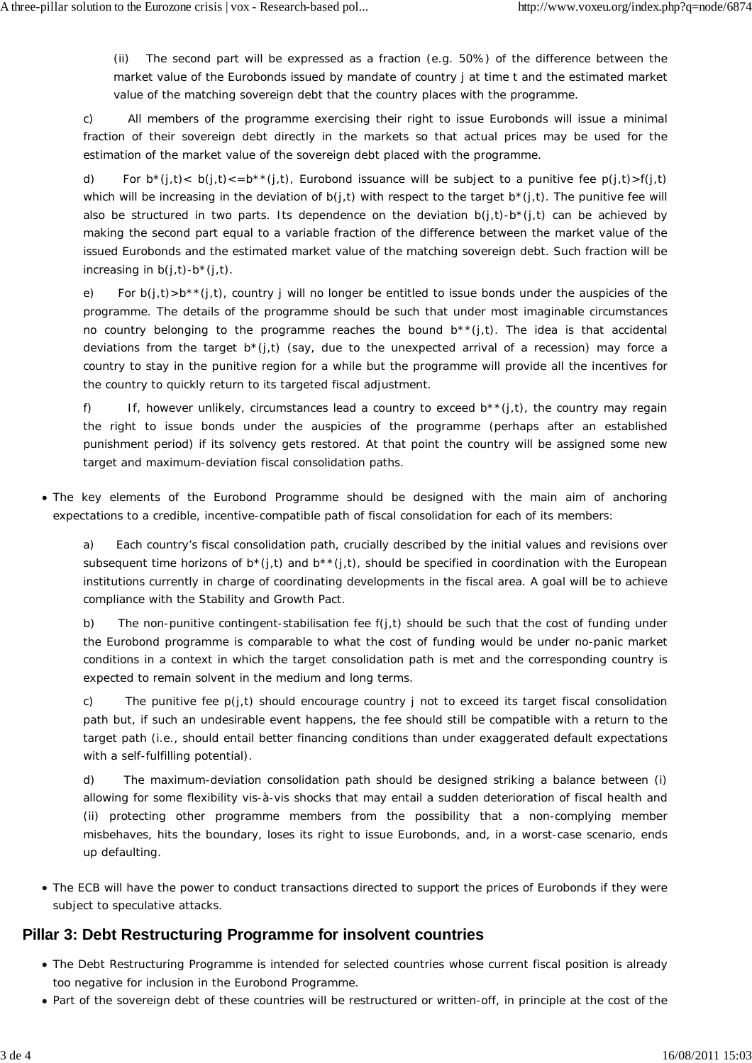(ii) The second part will be expressed as a fraction (e.g. 50%) of the difference between the market value of the Eurobonds issued by mandate of country *j* at time *t* and the estimated market value of the matching sovereign debt that the country places with the programme.

c) All members of the programme exercising their right to issue Eurobonds will issue a minimal fraction of their sovereign debt directly in the markets so that actual prices may be used for the estimation of the market value of the sovereign debt placed with the programme.

d) For  $b^*(j,t) < b(j,t) < = b^{**}(j,t)$ , Eurobond issuance will be subject to a *punitive fee p(j,t)*  $>f(j,t)$ which will be increasing in the deviation of  $b(j, t)$  with respect to the target  $b^*(j, t)$ . The punitive fee will also be structured in two parts. Its dependence on the deviation  $b(i, t)$ - $b<sup>*</sup>(i, t)$  can be achieved by making the second part equal to a *variable* fraction of the difference between the market value of the issued Eurobonds and the estimated market value of the matching sovereign debt. Such fraction will be increasing in  $b(j, t)$ - $b^*(j, t)$ .

e) For  $b(i,t) > b^**(i,t)$ , country *j* will no longer be entitled to issue bonds under the auspicies of the programme. The details of the programme should be such that under most imaginable circumstances no country belonging to the programme reaches the bound  $b^{**}(j,t)$ . The idea is that accidental deviations from the target *b*\*(*j,t*) (say, due to the unexpected arrival of a recession) may force a country to stay in the punitive region for a while but the programme will provide all the incentives for the country to quickly return to its targeted fiscal adjustment.

f) If, however unlikely, circumstances lead a country to exceed  $b^**(i,t)$ , the country may regain the right to issue bonds under the auspicies of the programme (perhaps after an established punishment period) if its solvency gets restored. At that point the country will be assigned some new target and maximum-deviation fiscal consolidation paths.

The key elements of the Eurobond Programme should be designed with the main aim of anchoring expectations to a credible, incentive-compatible path of fiscal consolidation for each of its members:

a) Each country's fiscal consolidation path, crucially described by the initial values and revisions over subsequent time horizons of  $b^*(j,t)$  and  $b^{**}(j,t)$ , should be specified in coordination with the European institutions currently in charge of coordinating developments in the fiscal area. A goal will be to achieve compliance with the Stability and Growth Pact.

b) The non-punitive contingent-stabilisation fee *f*(*j,t*) should be such that the cost of funding under the Eurobond programme is comparable to what the cost of funding would be under no-panic market conditions in a context in which the target consolidation path is met and the corresponding country is expected to remain solvent in the medium and long terms.

c) The punitive fee *p*(*j,t*) should encourage country *j* not to exceed its target fiscal consolidation path but, if such an undesirable event happens, the fee should still be compatible with a return to the target path (i.e., should entail better financing conditions than under exaggerated default expectations with a self-fulfilling potential).

d) The maximum-deviation consolidation path should be designed striking a balance between (i) allowing for some flexibility vis-à-vis shocks that may entail a sudden deterioration of fiscal health and (ii) protecting other programme members from the possibility that a non-complying member misbehaves, hits the boundary, loses its right to issue Eurobonds, and, in a worst-case scenario, ends up defaulting.

The ECB will have the power to conduct transactions directed to support the prices of Eurobonds if they were subject to speculative attacks.

#### **Pillar 3: Debt Restructuring Programme for insolvent countries**

- The Debt Restructuring Programme is intended for selected countries whose current fiscal position is already too negative for inclusion in the Eurobond Programme.
- Part of the sovereign debt of these countries will be restructured or written-off, in principle at the cost of the